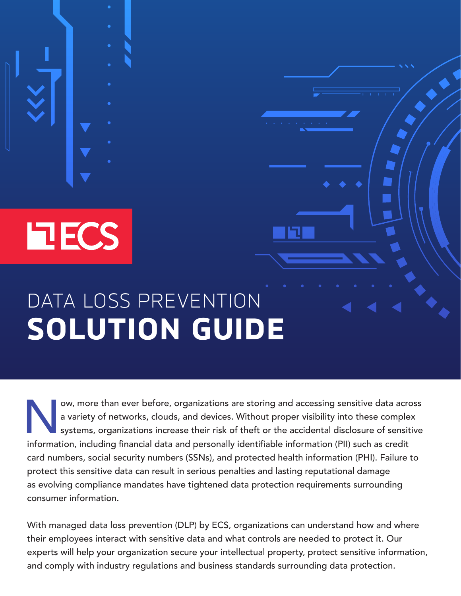**FLECS** 

# DATA LOSS PREVENTION **SOLUTION GUIDE**

ow, more than ever before, organizations are storing and accessing sensitive data across<br>a variety of networks, clouds, and devices. Without proper visibility into these complex<br>systems, organizations increase their risk o a variety of networks, clouds, and devices. Without proper visibility into these complex systems, organizations increase their risk of theft or the accidental disclosure of sensitive information, including financial data and personally identifiable information (PII) such as credit card numbers, social security numbers (SSNs), and protected health information (PHI). Failure to protect this sensitive data can result in serious penalties and lasting reputational damage as evolving compliance mandates have tightened data protection requirements surrounding consumer information.

With managed data loss prevention (DLP) by ECS, organizations can understand how and where their employees interact with sensitive data and what controls are needed to protect it. Our experts will help your organization secure your intellectual property, protect sensitive information, and comply with industry regulations and business standards surrounding data protection.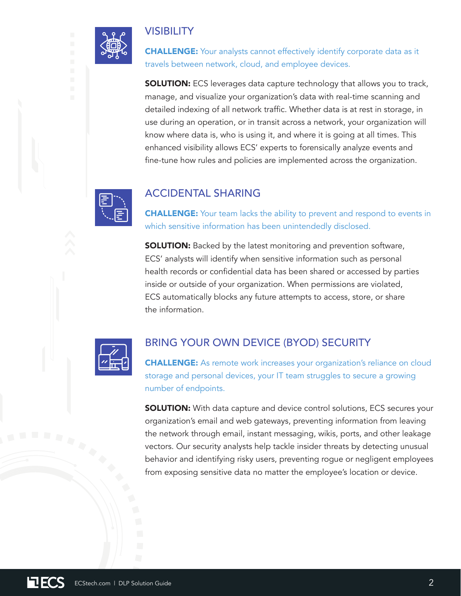## **VISIBILITY**

**CHALLENGE:** Your analysts cannot effectively identify corporate data as it travels between network, cloud, and employee devices.

**SOLUTION:** ECS leverages data capture technology that allows you to track, manage, and visualize your organization's data with real-time scanning and detailed indexing of all network traffic. Whether data is at rest in storage, in use during an operation, or in transit across a network, your organization will know where data is, who is using it, and where it is going at all times. This enhanced visibility allows ECS' experts to forensically analyze events and fine-tune how rules and policies are implemented across the organization.



## ACCIDENTAL SHARING

**CHALLENGE:** Your team lacks the ability to prevent and respond to events in which sensitive information has been unintendedly disclosed.

**SOLUTION:** Backed by the latest monitoring and prevention software, ECS' analysts will identify when sensitive information such as personal health records or confidential data has been shared or accessed by parties inside or outside of your organization. When permissions are violated, ECS automatically blocks any future attempts to access, store, or share the information.



## BRING YOUR OWN DEVICE (BYOD) SECURITY

**CHALLENGE:** As remote work increases your organization's reliance on cloud storage and personal devices, your IT team struggles to secure a growing number of endpoints.

**SOLUTION:** With data capture and device control solutions, ECS secures your organization's email and web gateways, preventing information from leaving the network through email, instant messaging, wikis, ports, and other leakage vectors. Our security analysts help tackle insider threats by detecting unusual behavior and identifying risky users, preventing rogue or negligent employees from exposing sensitive data no matter the employee's location or device.